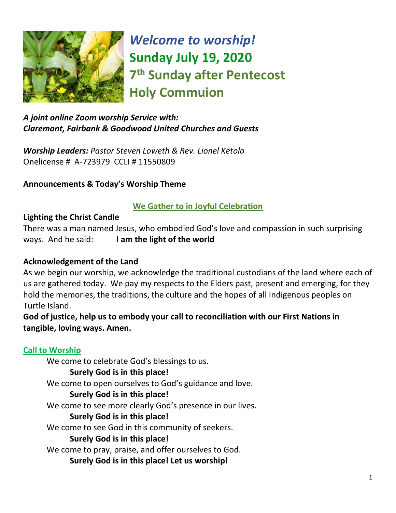

*Welcome to worship!* **Sunday July 19, 2020 7 th Sunday after Pentecost Holy Commuion** 

# *A joint online Zoom worship Service with: Claremont, Fairbank & Goodwood United Churches and Guests*

*Worship Leaders: Pastor Steven Loweth & Rev. Lionel Ketola* Onelicense # A-723979 CCLI # 11550809

# **Announcements & Today's Worship Theme**

# **We Gather to in Joyful Celebration**

#### **Lighting the Christ Candle**

There was a man named Jesus, who embodied God's love and compassion in such surprising ways. And he said: **I am the light of the world** 

#### **Acknowledgement of the Land**

As we begin our worship, we acknowledge the traditional custodians of the land where each of us are gathered today. We pay my respects to the Elders past, present and emerging, for they hold the memories, the traditions, the culture and the hopes of all Indigenous peoples on Turtle Island.

**God of justice, help us to embody your call to reconciliation with our First Nations in tangible, loving ways. Amen.** 

# **Call to Worship**

We come to celebrate God's blessings to us.

#### **Surely God is in this place!**

We come to open ourselves to God's guidance and love.

#### **Surely God is in this place!**

We come to see more clearly God's presence in our lives.

#### **Surely God is in this place!**

We come to see God in this community of seekers.

#### **Surely God is in this place!**

We come to pray, praise, and offer ourselves to God.

**Surely God is in this place! Let us worship!**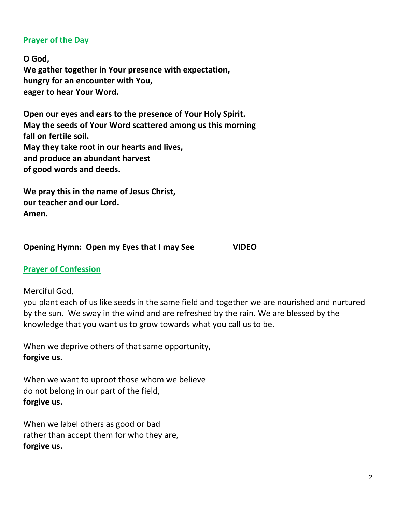# **Prayer of the Day**

**O God, We gather together in Your presence with expectation, hungry for an encounter with You, eager to hear Your Word.**

**Open our eyes and ears to the presence of Your Holy Spirit. May the seeds of Your Word scattered among us this morning fall on fertile soil. May they take root in our hearts and lives, and produce an abundant harvest of good words and deeds.**

**We pray this in the name of Jesus Christ, our teacher and our Lord. Amen.**

#### **Opening Hymn: Open my Eyes that I may See VIDEO**

#### **Prayer of Confession**

Merciful God,

you plant each of us like seeds in the same field and together we are nourished and nurtured by the sun. We sway in the wind and are refreshed by the rain. We are blessed by the knowledge that you want us to grow towards what you call us to be.

When we deprive others of that same opportunity, **forgive us.**

When we want to uproot those whom we believe do not belong in our part of the field, **forgive us.**

When we label others as good or bad rather than accept them for who they are, **forgive us.**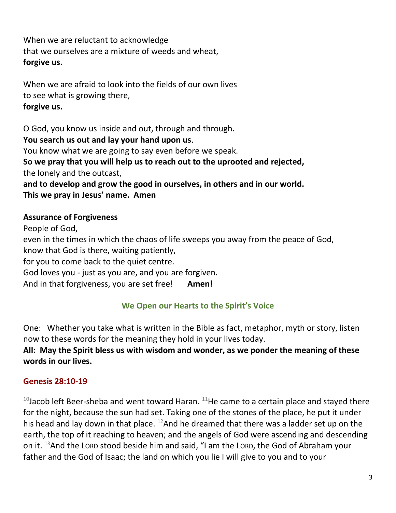When we are reluctant to acknowledge that we ourselves are a mixture of weeds and wheat, **forgive us.**

When we are afraid to look into the fields of our own lives to see what is growing there, **forgive us.**

O God, you know us inside and out, through and through. **You search us out and lay your hand upon us**. You know what we are going to say even before we speak. **So we pray that you will help us to reach out to the uprooted and rejected,** the lonely and the outcast, **and to develop and grow the good in ourselves, in others and in our world. This we pray in Jesus' name. Amen**

# **Assurance of Forgiveness**

People of God, even in the times in which the chaos of life sweeps you away from the peace of God, know that God is there, waiting patiently, for you to come back to the quiet centre. God loves you - just as you are, and you are forgiven. And in that forgiveness, you are set free! **Amen!** 

# **We Open our Hearts to the Spirit's Voice**

One: Whether you take what is written in the Bible as fact, metaphor, myth or story, listen now to these words for the meaning they hold in your lives today.

# **All: May the Spirit bless us with wisdom and wonder, as we ponder the meaning of these words in our lives.**

# **Genesis 28:10-19**

 $10$ Jacob left Beer-sheba and went toward Haran.  $11$ He came to a certain place and stayed there for the night, because the sun had set. Taking one of the stones of the place, he put it under his head and lay down in that place.  $^{12}$ And he dreamed that there was a ladder set up on the earth, the top of it reaching to heaven; and the angels of God were ascending and descending on it. <sup>13</sup>And the LORD stood beside him and said, "I am the LORD, the God of Abraham your father and the God of Isaac; the land on which you lie I will give to you and to your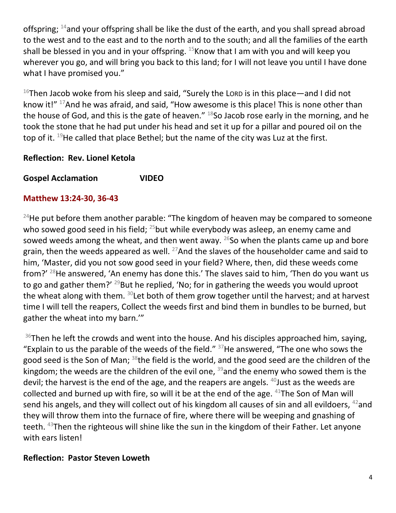offspring;  $14$  and your offspring shall be like the dust of the earth, and you shall spread abroad to the west and to the east and to the north and to the south; and all the families of the earth shall be blessed in you and in your offspring.  $^{15}$ Know that I am with you and will keep you wherever you go, and will bring you back to this land; for I will not leave you until I have done what I have promised you."

 $16$ Then Jacob woke from his sleep and said, "Surely the Lorp is in this place—and I did not know it!" <sup>17</sup>And he was afraid, and said, "How awesome is this place! This is none other than the house of God, and this is the gate of heaven." <sup>18</sup>So Jacob rose early in the morning, and he took the stone that he had put under his head and set it up for a pillar and poured oil on the top of it.  $^{19}$ He called that place Bethel; but the name of the city was Luz at the first.

# **Reflection: Rev. Lionel Ketola**

**Gospel Acclamation VIDEO** 

#### **Matthew 13:24-30, 36-43**

<sup>24</sup>He put before them another parable: "The kingdom of heaven may be compared to someone who sowed good seed in his field; <sup>25</sup>but while everybody was asleep, an enemy came and sowed weeds among the wheat, and then went away.  $26$ So when the plants came up and bore grain, then the weeds appeared as well.  $^{27}$ And the slaves of the householder came and said to him, 'Master, did you not sow good seed in your field? Where, then, did these weeds come from?' <sup>28</sup>He answered, 'An enemy has done this.' The slaves said to him, 'Then do you want us to go and gather them?'  $^{29}$ But he replied, 'No; for in gathering the weeds you would uproot the wheat along with them.  $30$ Let both of them grow together until the harvest; and at harvest time I will tell the reapers, Collect the weeds first and bind them in bundles to be burned, but gather the wheat into my barn.'"

 $36$ Then he left the crowds and went into the house. And his disciples approached him, saying, "Explain to us the parable of the weeds of the field."  $37$ He answered, "The one who sows the good seed is the Son of Man; <sup>38</sup>the field is the world, and the good seed are the children of the kingdom; the weeds are the children of the evil one,  $39$  and the enemy who sowed them is the devil; the harvest is the end of the age, and the reapers are angels.  $40$  Just as the weeds are collected and burned up with fire, so will it be at the end of the age.  $41$ The Son of Man will send his angels, and they will collect out of his kingdom all causes of sin and all evildoers, <sup>42</sup>and they will throw them into the furnace of fire, where there will be weeping and gnashing of teeth. <sup>43</sup>Then the righteous will shine like the sun in the kingdom of their Father. Let anyone with ears listen!

#### **Reflection: Pastor Steven Loweth**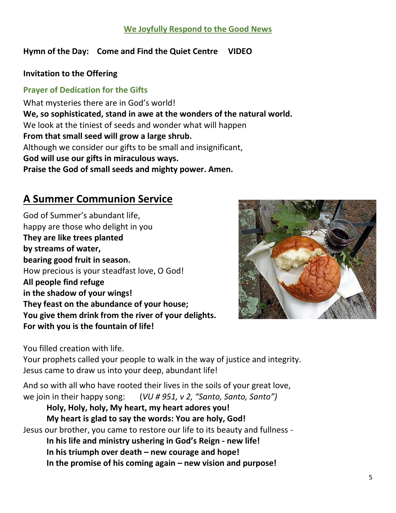# **We Joyfully Respond to the Good News**

#### **Hymn of the Day: Come and Find the Quiet Centre VIDEO**

#### **Invitation to the Offering**

### **Prayer of Dedication for the Gifts**

What mysteries there are in God's world! **We, so sophisticated, stand in awe at the wonders of the natural world.** We look at the tiniest of seeds and wonder what will happen **From that small seed will grow a large shrub.** Although we consider our gifts to be small and insignificant, **God will use our gifts in miraculous ways. Praise the God of small seeds and mighty power. Amen.**

# **A Summer Communion Service**

God of Summer's abundant life, happy are those who delight in you **They are like trees planted by streams of water, bearing good fruit in season.**  How precious is your steadfast love, O God! **All people find refuge in the shadow of your wings! They feast on the abundance of your house; You give them drink from the river of your delights. For with you is the fountain of life!**



You filled creation with life.

Your prophets called your people to walk in the way of justice and integrity. Jesus came to draw us into your deep, abundant life!

And so with all who have rooted their lives in the soils of your great love, we join in their happy song: (*VU # 951, v 2, "Santo, Santo, Santo")*

**Holy, Holy, holy, My heart, my heart adores you! My heart is glad to say the words: You are holy, God!**  Jesus our brother, you came to restore our life to its beauty and fullness - **In his life and ministry ushering in God's Reign - new life! In his triumph over death – new courage and hope!** 

**In the promise of his coming again – new vision and purpose!**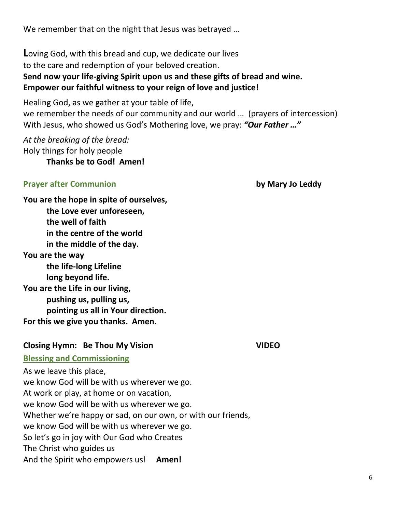We remember that on the night that Jesus was betrayed …

**L**oving God, with this bread and cup, we dedicate our lives to the care and redemption of your beloved creation. **Send now your life-giving Spirit upon us and these gifts of bread and wine. Empower our faithful witness to your reign of love and justice!** 

Healing God, as we gather at your table of life, we remember the needs of our community and our world … (prayers of intercession) With Jesus, who showed us God's Mothering love, we pray: *"Our Father …"*

*At the breaking of the bread:*  Holy things for holy people **Thanks be to God! Amen!** 

#### **Prayer after Communion by Mary Jo Leddy**

**You are the hope in spite of ourselves, the Love ever unforeseen, the well of faith in the centre of the world in the middle of the day. You are the way the life-long Lifeline long beyond life. You are the Life in our living, pushing us, pulling us, pointing us all in Your direction. For this we give you thanks. Amen.** 

#### **Closing Hymn: Be Thou My Vision VIDEO**

#### **Blessing and Commissioning**

As we leave this place, we know God will be with us wherever we go. At work or play, at home or on vacation, we know God will be with us wherever we go. Whether we're happy or sad, on our own, or with our friends, we know God will be with us wherever we go. So let's go in joy with Our God who Creates The Christ who guides us And the Spirit who empowers us! **Amen!**

6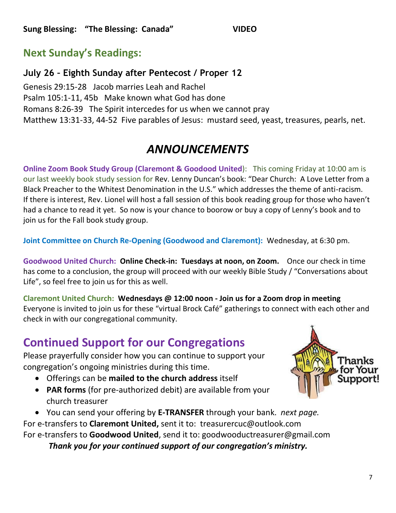# **Next Sunday's Readings:**

# **July 26 – Eighth Sunday after Pentecost / Proper 12**

[Genesis 29:15-28](http://www.textweek.com/pentateuch/gen29.htm) Jacob marries Leah and Rachel [Psalm 105:1-11, 45b](http://www.textweek.com/writings/psalm105.htm) Make known what God has done Romans 8:26-39 The [Spirit intercedes for us when we cannot pray](http://www.textweek.com/pauline/rom8d.htm)  [Matthew 13:31-33, 44-52](http://www.textweek.com/mtlk/matt13c.htm) Five parables of Jesus: mustard seed, yeast, treasures, pearls, net.

# *ANNOUNCEMENTS*

**Online Zoom Book Study Group (Claremont & Goodood United):** This coming Friday at 10:00 am is our last weekly book study session for Rev. Lenny Duncan's book: "Dear Church: A Love Letter from a Black Preacher to the Whitest Denomination in the U.S." which addresses the theme of anti-racism. If there is interest, Rev. Lionel will host a fall session of this book reading group for those who haven't had a chance to read it yet. So now is your chance to boorow or buy a copy of Lenny's book and to join us for the Fall book study group.

**Joint Committee on Church Re-Opening (Goodwood and Claremont):** Wednesday, at 6:30 pm.

**Goodwood United Church: Online Check-in: Tuesdays at noon, on Zoom.** Once our check in time has come to a conclusion, the group will proceed with our weekly Bible Study / "Conversations about Life", so feel free to join us for this as well.

**Claremont United Church: Wednesdays @ 12:00 noon - Join us for a Zoom drop in meeting**  Everyone is invited to join us for these "virtual Brock Café" gatherings to connect with each other and check in with our congregational community.

# **Continued Support for our Congregations**

Please prayerfully consider how you can continue to support your congregation's ongoing ministries during this time.

- Offerings can be **mailed to the church address** itself
- **PAR forms** (for pre-authorized debit) are available from your church treasurer
- You can send your offering by **E-TRANSFER** through your bank. *next page.*

For e-transfers to **Claremont United,** sent it to: treasurercuc@outlook.com For e-transfers to **Goodwood United**, send it to: [goodwooductreasurer@gmail.com](mailto:goodwooductreasurer@gmail.com)

*Thank you for your continued support of our congregation's ministry.*